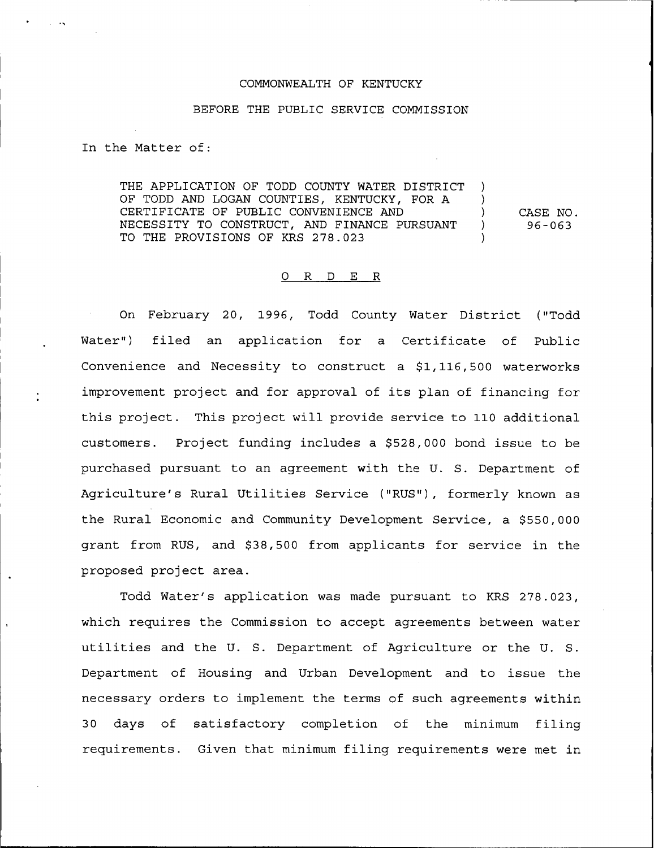## COMMONWEALTH OF KENTUCKY

## BEFORE THE PUBLIC SERVICE COMMISSION

In the Matter of:

THE APPLICATION OF TODD COUNTY WATER DISTRICT OF TODD AND LOGAN COUNTIES, KENTUCKY, FOR A CERTIFICATE OF PUBLIC CONVENIENCE AND NECESSITY TO CONSTRUCT, AND FINANCE PURSUANT TO THE PROVISIONS OF KRS 278.023 ) ) ) CASE NO. ) 96-063 )

## 0 R <sup>D</sup> E R

On February 20, 1996, Todd County Water District ("Todd Water") filed an application for a Certificate of Public Convenience and Necessity to construct a \$1,116,500 waterworks improvement project and for approval of its plan of financing for this project. This project will provide service to 110 additional customers. Project funding includes a \$528,000 bond issue to be purchased pursuant to an agreement with the U. S. Department of Agriculture's Rural Utilities Service ("RUS"), formerly known as the Rural Economic and Community Development Service, a \$550,000 grant from RUS, and \$38,500 from applicants for service in the proposed project area.

Todd Water's application was made pursuant to KRS 278.023, which requires the Commission to accept agreements between water utilities and the U. S. Department of Agriculture or the U. S. Department of Housing and Urban Development and to issue the necessary orders to implement the terms of such agreements within <sup>3</sup> <sup>0</sup> days of satisfactory completion of the minimum filing requirements. Given that minimum filing requirements were met in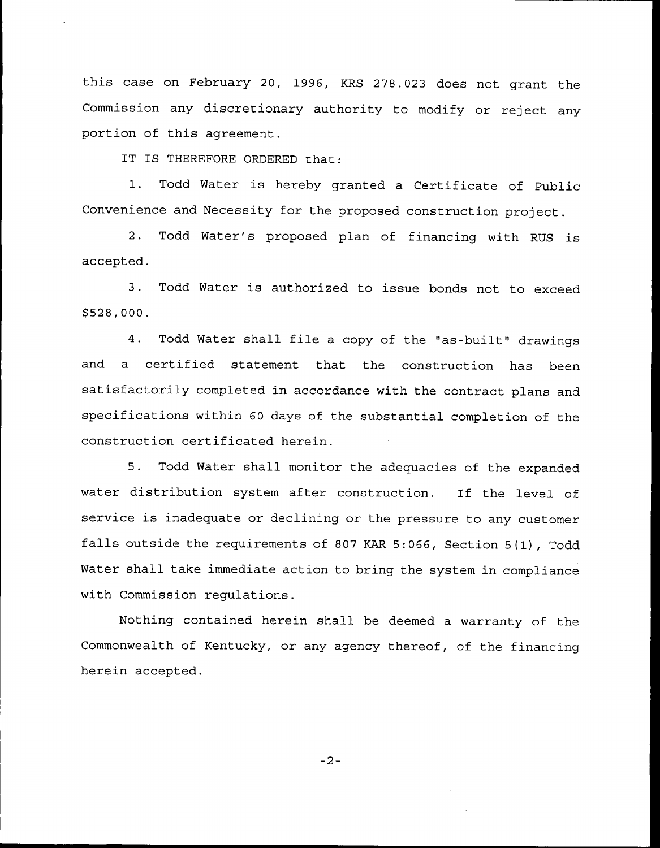this case on February 20, 1996, KRS 278.023 does not grant the Commission any discretionary authority to modify or reject any portion of this agreement.

IT IS THEREFORE ORDERED that:

1. Todd Water is hereby granted <sup>a</sup> Certificate of Public Convenience and Necessity for the proposed construction project.

2. Todd Water's proposed plan of financing with RUS is accepted.

3. Todd Water is authorized to issue bonds not to exceed \$ 528,000.

4. Todd Water shall file a copy of the "as-built" drawings and a certified statement that the construction has been satisfactorily completed in accordance with the contract plans and specifications within 60 days of the substantial completion of the construction certificated herein.

5. Todd Water shall monitor the adequacies of the expanded water distribution system after construction. If the level of service is inadequate or declining or the pressure to any customer falls outside the requirements of <sup>807</sup> KAR 5:066, Section 5(1), Todd Water shall take immediate action to bring the system in compliance with Commission regulations.

Nothing contained herein shall be deemed a warranty of the Commonwealth of Kentucky, or any agency thereof, of the financing herein accepted.

 $-2-$